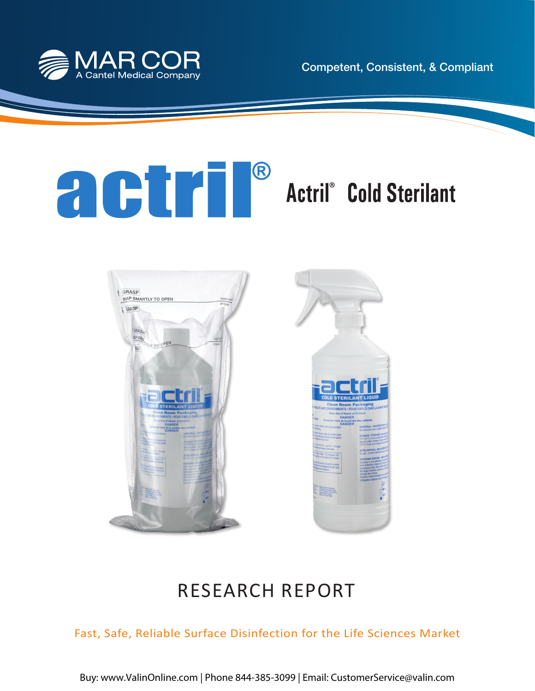





# RESEARCH REPORT

Fast, Safe, Reliable Surface Disinfection for the Life Sciences Market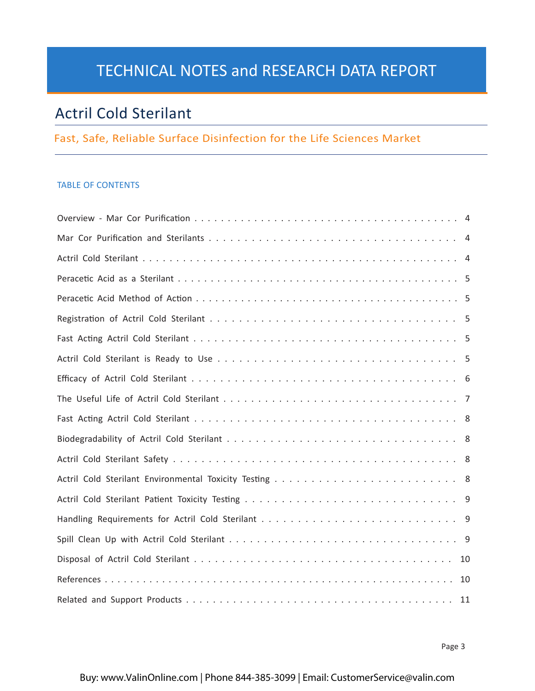# TECHNICAL NOTES and RESEARCH DATA REPORT

# Actril Cold Sterilant

# Fast, Safe, Reliable Surface Disinfection for the Life Sciences Market

# TABLE OF CONTENTS

| -10 |  |
|-----|--|
| 10  |  |
|     |  |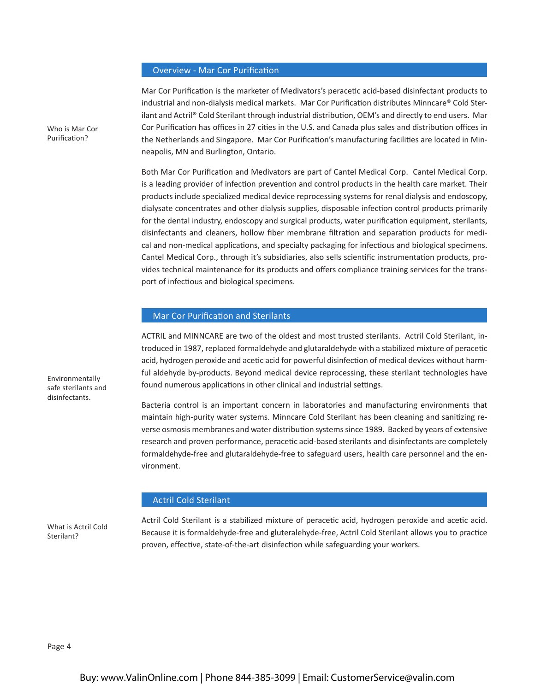#### Overview - Mar Cor Purification

Mar Cor Purification is the marketer of Medivators's peracetic acid-based disinfectant products to industrial and non-dialysis medical markets. Mar Cor Purification distributes Minncare® Cold Sterilant and Actril® Cold Sterilant through industrial distribution, OEM's and directly to end users. Mar Cor Purification has offices in 27 cities in the U.S. and Canada plus sales and distribution offices in the Netherlands and Singapore. Mar Cor Purification's manufacturing facilities are located in Minneapolis, MN and Burlington, Ontario.

Both Mar Cor Purification and Medivators are part of Cantel Medical Corp. Cantel Medical Corp. is a leading provider of infection prevention and control products in the health care market. Their products include specialized medical device reprocessing systems for renal dialysis and endoscopy, dialysate concentrates and other dialysis supplies, disposable infection control products primarily for the dental industry, endoscopy and surgical products, water purification equipment, sterilants, disinfectants and cleaners, hollow fiber membrane filtration and separation products for medical and non-medical applications, and specialty packaging for infectious and biological specimens. Cantel Medical Corp., through it's subsidiaries, also sells scientific instrumentation products, provides technical maintenance for its products and offers compliance training services for the transport of infectious and biological specimens.

### Mar Cor Purification and Sterilants

ACTRIL and MINNCARE are two of the oldest and most trusted sterilants. Actril Cold Sterilant, introduced in 1987, replaced formaldehyde and glutaraldehyde with a stabilized mixture of peracetic acid, hydrogen peroxide and acetic acid for powerful disinfection of medical devices without harmful aldehyde by-products. Beyond medical device reprocessing, these sterilant technologies have found numerous applications in other clinical and industrial settings.

Bacteria control is an important concern in laboratories and manufacturing environments that maintain high-purity water systems. Minncare Cold Sterilant has been cleaning and sanitizing reverse osmosis membranes and water distribution systems since 1989. Backed by years of extensive research and proven performance, peracetic acid-based sterilants and disinfectants are completely formaldehyde-free and glutaraldehyde-free to safeguard users, health care personnel and the environment.

#### Actril Cold Sterilant

What is Actril Cold Sterilant?

Actril Cold Sterilant is a stabilized mixture of peracetic acid, hydrogen peroxide and acetic acid. Because it is formaldehyde-free and gluteralehyde-free, Actril Cold Sterilant allows you to practice proven, effective, state-of-the-art disinfection while safeguarding your workers.

Who is Mar Cor Purification?

Environmentally safe sterilants and disinfectants.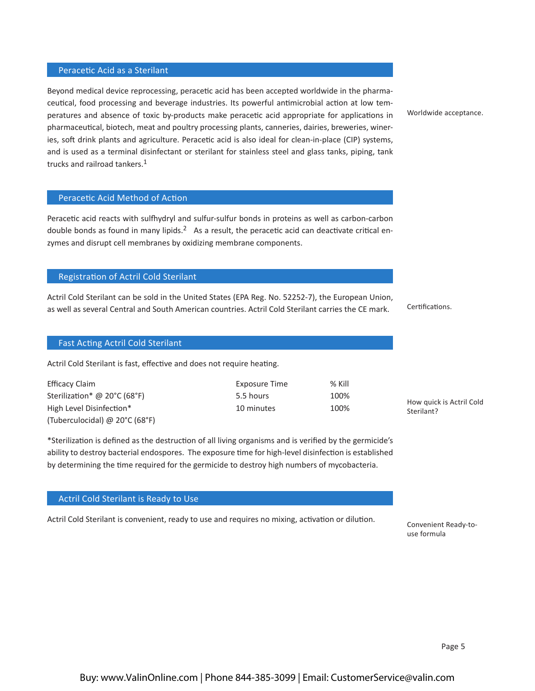#### Peracetic Acid as a Sterilant

Beyond medical device reprocessing, peracetic acid has been accepted worldwide in the pharmaceutical, food processing and beverage industries. Its powerful antimicrobial action at low temperatures and absence of toxic by-products make peracetic acid appropriate for applications in pharmaceutical, biotech, meat and poultry processing plants, canneries, dairies, breweries, wineries, soft drink plants and agriculture. Peracetic acid is also ideal for clean-in-place (CIP) systems, and is used as a terminal disinfectant or sterilant for stainless steel and glass tanks, piping, tank trucks and railroad tankers.<sup>1</sup>

#### Peracetic Acid Method of Action

Peracetic acid reacts with sulfhydryl and sulfur-sulfur bonds in proteins as well as carbon-carbon double bonds as found in many lipids. $2$  As a result, the peracetic acid can deactivate critical enzymes and disrupt cell membranes by oxidizing membrane components.

#### Registration of Actril Cold Sterilant

Actril Cold Sterilant can be sold in the United States (EPA Reg. No. 52252-7), the European Union, as well as several Central and South American countries. Actril Cold Sterilant carries the CE mark.

### Fast Acting Actril Cold Sterilant

Actril Cold Sterilant is fast, effective and does not require heating.

| Efficacy Claim                 | Exposure Time | % Kill |
|--------------------------------|---------------|--------|
| Sterilization* @ 20°C (68°F)   | 5.5 hours     | 100%   |
| High Level Disinfection*       | 10 minutes    | 100%   |
| (Tuberculocidal) @ 20°C (68°F) |               |        |

\*Sterilization is defined as the destruction of all living organisms and is verified by the germicide's ability to destroy bacterial endospores. The exposure time for high-level disinfection is established by determining the time required for the germicide to destroy high numbers of mycobacteria.

# Actril Cold Sterilant is Ready to Use

Actril Cold Sterilant is convenient, ready to use and requires no mixing, activation or dilution.

Worldwide acceptance.

Certifications.

How quick is Actril Cold Sterilant?

Convenient Ready-touse formula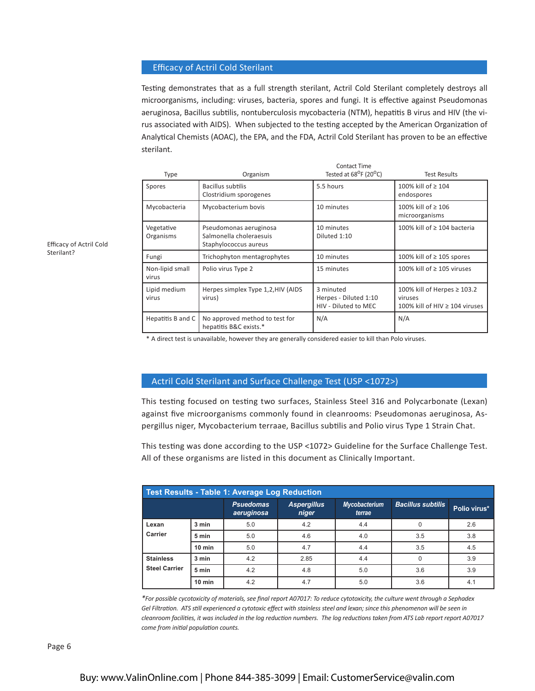## Efficacy of Actril Cold Sterilant

Testing demonstrates that as a full strength sterilant, Actril Cold Sterilant completely destroys all microorganisms, including: viruses, bacteria, spores and fungi. It is effective against Pseudomonas aeruginosa, Bacillus subtilis, nontuberculosis mycobacteria (NTM), hepatitis B virus and HIV (the virus associated with AIDS). When subjected to the testing accepted by the American Organization of Analytical Chemists (AOAC), the EPA, and the FDA, Actril Cold Sterilant has proven to be an effective sterilant.

| Type                     | Organism                                                                   | <b>Contact Time</b><br>Tested at 68 <sup>o</sup> F (20 <sup>o</sup> C) | <b>Test Results</b>                                                           |
|--------------------------|----------------------------------------------------------------------------|------------------------------------------------------------------------|-------------------------------------------------------------------------------|
| Spores                   | Bacillus subtilis<br>Clostridium sporogenes                                | 5.5 hours                                                              | 100% kill of ≥ 104<br>endospores                                              |
| Mycobacteria             | Mycobacterium bovis                                                        | 10 minutes                                                             | 100% kill of ≥ 106<br>microorganisms                                          |
| Vegetative<br>Organisms  | Pseudomonas aeruginosa<br>Salmonella choleraesuis<br>Staphylococcus aureus | 10 minutes<br>Diluted 1:10                                             | 100% kill of ≥ 104 bacteria                                                   |
| Fungi                    | Trichophyton mentagrophytes                                                | 10 minutes                                                             | 100% kill of $\geq$ 105 spores                                                |
| Non-lipid small<br>virus | Polio virus Type 2                                                         | 15 minutes                                                             | 100% kill of ≥ 105 viruses                                                    |
| Lipid medium<br>virus    | Herpes simplex Type 1,2, HIV (AIDS<br>virus)                               | 3 minuted<br>Herpes - Diluted 1:10<br>HIV - Diluted to MEC             | 100% kill of Herpes ≥ 103.2<br>viruses<br>100% kill of HIV $\geq$ 104 viruses |
| Hepatitis B and C        | No approved method to test for<br>hepatitis B&C exists.*                   | N/A                                                                    | N/A                                                                           |

Efficacy of Actril Cold Sterilant?

\* A direct test is unavailable, however they are generally considered easier to kill than Polo viruses.

#### Actril Cold Sterilant and Surface Challenge Test (USP <1072>)

This testing focused on testing two surfaces, Stainless Steel 316 and Polycarbonate (Lexan) against five microorganisms commonly found in cleanrooms: Pseudomonas aeruginosa, Aspergillus niger, Mycobacterium terraae, Bacillus subtilis and Polio virus Type 1 Strain Chat.

This testing was done according to the USP <1072> Guideline for the Surface Challenge Test. All of these organisms are listed in this document as Clinically Important.

| Test Results - Table 1: Average Log Reduction |          |                                |                             |                                |                          |              |
|-----------------------------------------------|----------|--------------------------------|-----------------------------|--------------------------------|--------------------------|--------------|
|                                               |          | <b>Psuedomas</b><br>aeruginosa | <b>Aspergillus</b><br>niger | <b>Mycobacterium</b><br>terrae | <b>Bacillus subtilis</b> | Polio virus* |
| Lexan                                         | 3 min    | 5.0                            | 4.2                         | 4.4                            |                          | 2.6          |
| Carrier                                       | 5 min    | 5.0                            | 4.6                         | 4.0                            | 3.5                      | 3.8          |
|                                               | $10$ min | 5.0                            | 4.7                         | 4.4                            | 3.5                      | 4.5          |
| <b>Stainless</b><br><b>Steel Carrier</b>      | 3 min    | 4.2                            | 2.85                        | 4.4                            | U                        | 3.9          |
|                                               | 5 min    | 4.2                            | 4.8                         | 5.0                            | 3.6                      | 3.9          |
|                                               | $10$ min | 4.2                            | 4.7                         | 5.0                            | 3.6                      | 4.1          |

*\*For possible cycotoxicity of materials, see final report A07017: To reduce cytotoxicity, the culture went through a Sephadex*  Gel Filtration. ATS still experienced a cytotoxic effect with stainless steel and lexan; since this phenomenon will be seen in *cleanroom facilities, it was included in the log reduction numbers. The log reductions taken from ATS Lab report report A07017 come from initial population counts.*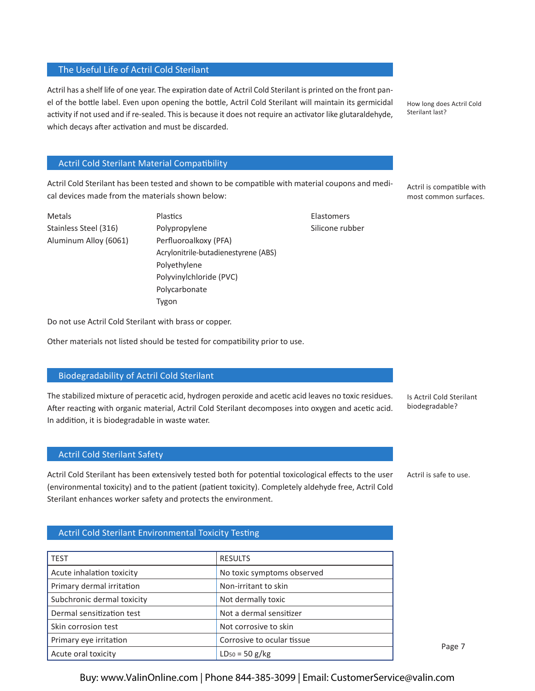## The Useful Life of Actril Cold Sterilant

Actril has a shelf life of one year. The expiration date of Actril Cold Sterilant is printed on the front panel of the bottle label. Even upon opening the bottle, Actril Cold Sterilant will maintain its germicidal activity if not used and if re-sealed. This is because it does not require an activator like glutaraldehyde, which decays after activation and must be discarded.

How long does Actril Cold Sterilant last?

# Actril Cold Sterilant Material Compatibility

Actril Cold Sterilant has been tested and shown to be compatible with material coupons and medical devices made from the materials shown below:

Metals **Elastomers** Plastics **Plastics Plastics Elastomers** Aluminum Alloy (6061) Perfluoroalkoxy (PFA)

Stainless Steel (316) Polypropylene Silicone rubber Acrylonitrile-butadienestyrene (ABS) Polyethylene Polyvinylchloride (PVC) Polycarbonate Tygon

Actril is compatible with most common surfaces.

Do not use Actril Cold Sterilant with brass or copper.

Other materials not listed should be tested for compatibility prior to use.

## Biodegradability of Actril Cold Sterilant

The stabilized mixture of peracetic acid, hydrogen peroxide and acetic acid leaves no toxic residues. After reacting with organic material, Actril Cold Sterilant decomposes into oxygen and acetic acid. In addition, it is biodegradable in waste water.

## Actril Cold Sterilant Safety

Actril Cold Sterilant has been extensively tested both for potential toxicological effects to the user (environmental toxicity) and to the patient (patient toxicity). Completely aldehyde free, Actril Cold Sterilant enhances worker safety and protects the environment.

Actril is safe to use.

Is Actril Cold Sterilant biodegradable?

Actril Cold Sterilant Environmental Toxicity Testing

| <b>TEST</b>                | <b>RESULTS</b>             |
|----------------------------|----------------------------|
| Acute inhalation toxicity  | No toxic symptoms observed |
| Primary dermal irritation  | Non-irritant to skin       |
| Subchronic dermal toxicity | Not dermally toxic         |
| Dermal sensitization test  | Not a dermal sensitizer    |
| Skin corrosion test        | Not corrosive to skin      |
| Primary eye irritation     | Corrosive to ocular tissue |
| Acute oral toxicity        | $LD_{50} = 50 g/kg$        |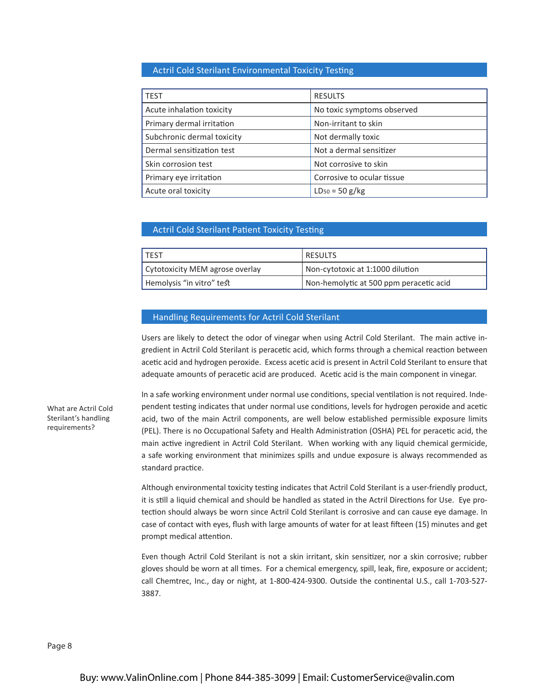## Actril Cold Sterilant Environmental Toxicity Testing

| <b>TEST</b>                | <b>RESULTS</b>             |
|----------------------------|----------------------------|
| Acute inhalation toxicity  | No toxic symptoms observed |
| Primary dermal irritation  | Non-irritant to skin       |
| Subchronic dermal toxicity | Not dermally toxic         |
| Dermal sensitization test  | Not a dermal sensitizer    |
| Skin corrosion test        | Not corrosive to skin      |
| Primary eye irritation     | Corrosive to ocular tissue |
| Acute oral toxicity        | $LD_{50} = 50 g/kg$        |

#### Actril Cold Sterilant Patient Toxicity Testing

| I TEST                          | ' RESULTS                               |
|---------------------------------|-----------------------------------------|
| Cytotoxicity MEM agrose overlay | Non-cytotoxic at 1:1000 dilution        |
| Hemolysis "in vitro" test       | Non-hemolytic at 500 ppm peracetic acid |

#### Handling Requirements for Actril Cold Sterilant

Users are likely to detect the odor of vinegar when using Actril Cold Sterilant. The main active ingredient in Actril Cold Sterilant is peracetic acid, which forms through a chemical reaction between acetic acid and hydrogen peroxide. Excess acetic acid is present in Actril Cold Sterilant to ensure that adequate amounts of peracetic acid are produced. Acetic acid is the main component in vinegar.

In a safe working environment under normal use conditions, special ventilation is not required. Independent testing indicates that under normal use conditions, levels for hydrogen peroxide and acetic acid, two of the main Actril components, are well below established permissible exposure limits (PEL). There is no Occupational Safety and Health Administration (OSHA) PEL for peracetic acid, the main active ingredient in Actril Cold Sterilant. When working with any liquid chemical germicide, a safe working environment that minimizes spills and undue exposure is always recommended as standard practice.

Although environmental toxicity testing indicates that Actril Cold Sterilant is a user-friendly product, it is still a liquid chemical and should be handled as stated in the Actril Directions for Use. Eye protection should always be worn since Actril Cold Sterilant is corrosive and can cause eye damage. In case of contact with eyes, flush with large amounts of water for at least fifteen (15) minutes and get prompt medical attention.

Even though Actril Cold Sterilant is not a skin irritant, skin sensitizer, nor a skin corrosive; rubber gloves should be worn at all times. For a chemical emergency, spill, leak, fire, exposure or accident; call Chemtrec, Inc., day or night, at 1-800-424-9300. Outside the continental U.S., call 1-703-527- 3887.

What are Actril Cold Sterilant's handling requirements?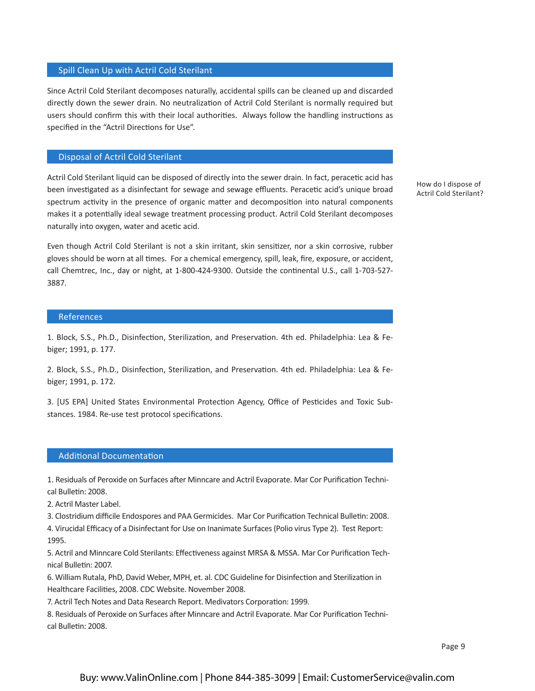#### Spill Clean Up with Actril Cold Sterilant

Since Actril Cold Sterilant decomposes naturally, accidental spills can be cleaned up and discarded directly down the sewer drain. No neutralization of Actril Cold Sterilant is normally required but users should confirm this with their local authorities. Always follow the handling instructions as specified in the "Actril Directions for Use".

#### Disposal of Actril Cold Sterilant

Actril Cold Sterilant liquid can be disposed of directly into the sewer drain. In fact, peracetic acid has been investigated as a disinfectant for sewage and sewage effluents. Peracetic acid's unique broad spectrum activity in the presence of organic matter and decomposition into natural components makes it a potentially ideal sewage treatment processing product. Actril Cold Sterilant decomposes naturally into oxygen, water and acetic acid.

Even though Actril Cold Sterilant is not a skin irritant, skin sensitizer, nor a skin corrosive, rubber gloves should be worn at all times. For a chemical emergency, spill, leak, fire, exposure, or accident, call Chemtrec, Inc., day or night, at 1-800-424-9300. Outside the continental U.S., call 1-703-527- 3887.

## References

1. Block, S.S., Ph.D., Disinfection, Sterilization, and Preservation. 4th ed. Philadelphia: Lea & Febiger; 1991, p. 177.

2. Block, S.S., Ph.D., Disinfection, Sterilization, and Preservation. 4th ed. Philadelphia: Lea & Febiger; 1991, p. 172.

3. [US EPA] United States Environmental Protection Agency, Office of Pesticides and Toxic Substances. 1984. Re-use test protocol specifications.

## Additional Documentation

1. Residuals of Peroxide on Surfaces after Minncare and Actril Evaporate. Mar Cor Purification Technical Bulletin: 2008.

2. Actril Master Label.

3. Clostridium difficile Endospores and PAA Germicides. Mar Cor Purification Technical Bulletin: 2008.

4. Virucidal Efficacy of a Disinfectant for Use on Inanimate Surfaces (Polio virus Type 2). Test Report: 1995.

5. Actril and Minncare Cold Sterilants: Effectiveness against MRSA & MSSA. Mar Cor Purification Technical Bulletin: 2007.

6. William Rutala, PhD, David Weber, MPH, et. al. CDC Guideline for Disinfection and Sterilization in Healthcare Facilities, 2008. CDC Website. November 2008.

7. Actril Tech Notes and Data Research Report. Medivators Corporation: 1999.

8. Residuals of Peroxide on Surfaces after Minncare and Actril Evaporate. Mar Cor Purification Technical Bulletin: 2008.

How do I dispose of Actril Cold Sterilant?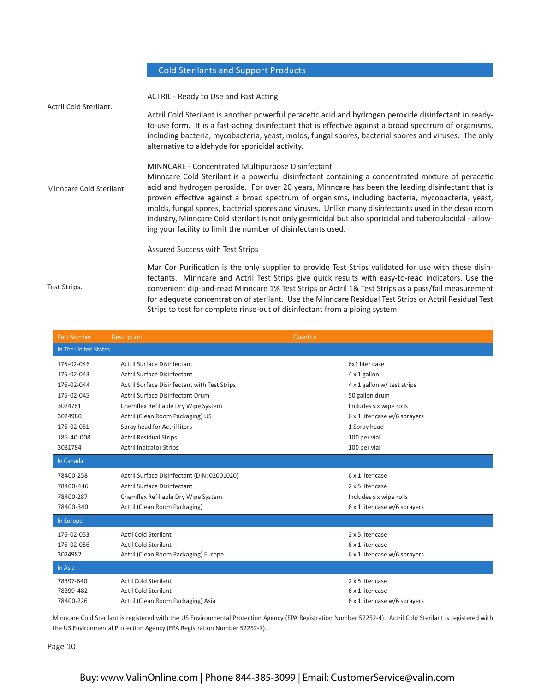# Cold Sterilants and Support Products

|                          | <b>ACTRIL - Ready to Use and Fast Acting</b>                                                                                                                                                                                                                                                                                                                                                                                                                                                                                                                                                                                                        |
|--------------------------|-----------------------------------------------------------------------------------------------------------------------------------------------------------------------------------------------------------------------------------------------------------------------------------------------------------------------------------------------------------------------------------------------------------------------------------------------------------------------------------------------------------------------------------------------------------------------------------------------------------------------------------------------------|
| Actril Cold Sterilant.   | Actril Cold Sterilant is another powerful peracetic acid and hydrogen peroxide disinfectant in ready-<br>to-use form. It is a fast-acting disinfectant that is effective against a broad spectrum of organisms,<br>including bacteria, mycobacteria, yeast, molds, fungal spores, bacterial spores and viruses. The only<br>alternative to aldehyde for sporicidal activity.                                                                                                                                                                                                                                                                        |
| Minncare Cold Sterilant. | MINNCARE - Concentrated Multipurpose Disinfectant<br>Minncare Cold Sterilant is a powerful disinfectant containing a concentrated mixture of peracetic<br>acid and hydrogen peroxide. For over 20 years, Minncare has been the leading disinfectant that is<br>proven effective against a broad spectrum of organisms, including bacteria, mycobacteria, yeast,<br>molds, fungal spores, bacterial spores and viruses. Unlike many disinfectants used in the clean room<br>industry, Minncare Cold sterilant is not only germicidal but also sporicidal and tuberculocidal - allow-<br>ing your facility to limit the number of disinfectants used. |
|                          | Assured Success with Test Strips                                                                                                                                                                                                                                                                                                                                                                                                                                                                                                                                                                                                                    |
| Test Strips.             | Mar Cor Purification is the only supplier to provide Test Strips validated for use with these disin-<br>fectants. Minncare and Actril Test Strips give quick results with easy-to-read indicators. Use the<br>convenient dip-and-read Minncare 1% Test Strips or Actril 1& Test Strips as a pass/fail measurement<br>for adequate concentration of sterilant. Use the Minncare Residual Test Strips or Actril Residual Test<br>Strips to test for complete rinse-out of disinfectant from a piping system.                                                                                                                                          |

| <b>Part Number</b>   | <b>Description</b><br>Quantity               |                               |
|----------------------|----------------------------------------------|-------------------------------|
| In The United States |                                              |                               |
| 176-02-046           | <b>Actril Surface Disinfectant</b>           | 6x1 liter case                |
| 176-02-043           | Actril Surface Disinfectant                  | 4 x 1 gallon                  |
| 176-02-044           | Actril Surface Disinfectant with Test Strips | 4 x 1 gallon w/ test strips   |
| 176-02-045           | Actril Surface Disinfectant Drum             | 50 gallon drum                |
| 3024761              | Chemflex Refillable Dry Wipe System          | Includes six wipe rolls       |
| 3024980              | Actril (Clean Room Packaging) US             | 6 x 1 liter case w/6 sprayers |
| 176-02-051           | Spray head for Actril liters                 | 1 Spray head                  |
| 185-40-008           | <b>Actril Residual Strips</b>                | 100 per vial                  |
| 3031784              | <b>Actril Indicator Strips</b>               | 100 per vial                  |
| In Canada            |                                              |                               |
| 78400-258            | Actril Surface Disinfectant (DIN: 02001020)  | 6 x 1 liter case              |
| 78400-446            | Actril Surface Disinfectant                  | 2 x 5 liter case              |
| 78400-287            | Chemflex Refillable Dry Wipe System          | Includes six wipe rolls       |
| 78400-340            | Actril (Clean Room Packaging)                | 6 x 1 liter case w/6 sprayers |
| In Europe            |                                              |                               |
| 176-02-053           | Actil Cold Sterilant                         | 2 x 5 liter case              |
| 176-02-056           | <b>Actil Cold Sterilant</b>                  | 6 x 1 liter case              |
| 3024982              | Actril (Clean Room Packaging) Europe         | 6 x 1 liter case w/6 sprayers |
| In Asia              |                                              |                               |
| 78397-640            | <b>Actil Cold Sterilant</b>                  | 2 x 5 liter case              |
| 78399-482            | <b>Actil Cold Sterilant</b>                  | 6 x 1 liter case              |
| 78400-226            | Actril (Clean Room Packaging) Asia           | 6 x 1 liter case w/6 sprayers |

Minncare Cold Sterilant is registered with the US Environmental Protection Agency (EPA Registration Number 52252-4). Actril Cold Sterilant is registered with the US Environmental Protection Agency (EPA Registration Number 52252-7).

Page 10